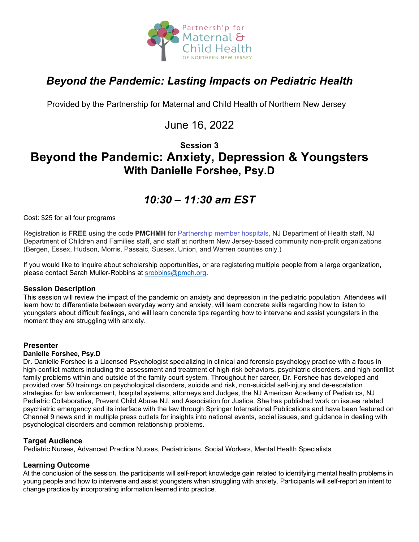

# *Beyond the Pandemic: Lasting Impacts on Pediatric Health*

Provided by the Partnership for Maternal and Child Health of Northern New Jersey

# June 16, 2022

### **Session 3 Beyond the Pandemic: Anxiety, Depression & Youngsters With Danielle Forshee, Psy.D**

# *10:30 – 11:30 am EST*

Cost: \$25 for all four programs

Registration is **FREE** using the code **PMCHMH** for Partnership [member hospitals,](https://www.partnershipmch.org/about-us/member-hospitals/) NJ Department of Health staff, NJ Department of Children and Families staff, and staff at northern New Jersey-based community non-profit organizations (Bergen, Essex, Hudson, Morris, Passaic, Sussex, Union, and Warren counties only.)

If you would like to inquire about scholarship opportunities, or are registering multiple people from a large organization, please contact Sarah Muller-Robbins at [srobbins@pmch.org.](mailto:srobbins@pmch.org)

### **Session Description**

This session will review the impact of the pandemic on anxiety and depression in the pediatric population. Attendees will learn how to differentiate between everyday worry and anxiety, will learn concrete skills regarding how to listen to youngsters about difficult feelings, and will learn concrete tips regarding how to intervene and assist youngsters in the moment they are struggling with anxiety.

### **Presenter**

#### **Danielle Forshee, Psy.D**

Dr. Danielle Forshee is a Licensed Psychologist specializing in clinical and forensic psychology practice with a focus in high-conflict matters including the assessment and treatment of high-risk behaviors, psychiatric disorders, and high-conflict family problems within and outside of the family court system. Throughout her career, Dr. Forshee has developed and provided over 50 trainings on psychological disorders, suicide and risk, non-suicidal self-injury and de-escalation strategies for law enforcement, hospital systems, attorneys and Judges, the NJ American Academy of Pediatrics, NJ Pediatric Collaborative, Prevent Child Abuse NJ, and Association for Justice. She has published work on issues related psychiatric emergency and its interface with the law through Springer International Publications and have been featured on Channel 9 news and in multiple press outlets for insights into national events, social issues, and guidance in dealing with psychological disorders and common relationship problems.

### **Target Audience**

Pediatric Nurses, Advanced Practice Nurses, Pediatricians, Social Workers, Mental Health Specialists

### **Learning Outcome**

At the conclusion of the session, the participants will self-report knowledge gain related to identifying mental health problems in young people and how to intervene and assist youngsters when struggling with anxiety. Participants will self-report an intent to change practice by incorporating information learned into practice.